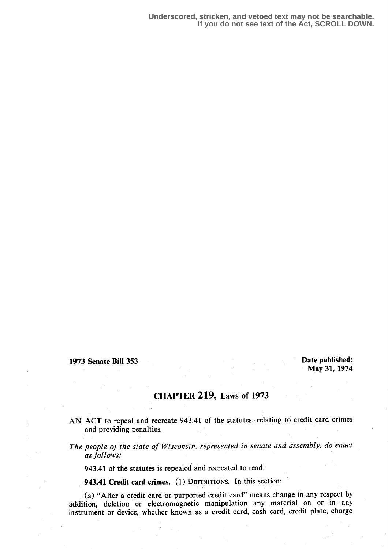1973 Senate Bill 353

Date published: May 31, 1974

## CHAPTER 219, Laws of 1973

- AN ACT to repeal and recreate 943 .41 of the statutes, relating to credit card crimes and providing penalties.
- The people of the state of Wisconsin, represented in senate and assembly, do enact as follows:

943.41 of the statutes is repealed and recreated to read:

943.41 Credit card crimes. (1) DEFINITIONS. In this section:

(a) "Alter a credit card or purported credit card" means change in any respect by addition, deletion or electromagnetic manipulation any material on or in any instrument or device, whether known as a credit card, cash card, credit plate, charge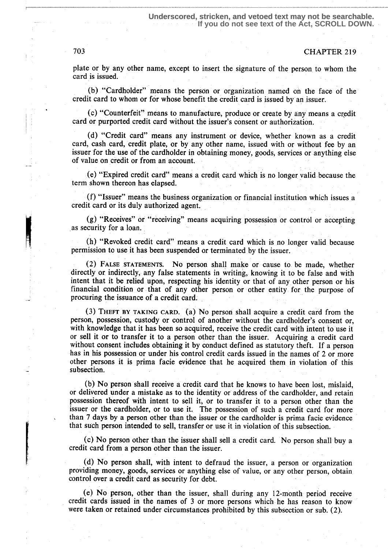## 703 CHAPTER 219

plate or by any other name, except to insert the signature of the person to whom the card is issued.

(b) "Cardholder" means the person or organization named on the face of the credit card to whom or for whose benefit the credit card is issued by an issuer .

(c) "Counterfeit" means to manufacture, produce or create by any means a credit eard or purported credit card without the issuer's consent or authorization.

> (d) "Credit card" means any instrument or device, whether known as a credit card, cash card, credit plate; or by any other name, issued with or without fee by an issuer for the use of the cardholder in obtaining money, goods; services or anything else of value on credit or from an account.

> (e) "Expired credit card" means a credit, card which is no longer, valid because the term shown thereon has elapsed.

> (f) "Issuer" means the business organization or financial institution which issues a credit card or its duly authorized agent.

> (g) "Receives" or "receiving" means acquiring possession or control or accepting as security for a loan.

> (h) "Revoked credit card" means a credit card which is no longer valid because permission to use it has been suspended or terminated by the issuer.

> (2) FALSE STATEMENTS. No person shall make or cause to be made, whether directly or indirectly, any false statements in writing, knowing it to be false and with intent that it be relied upon, respecting his identity or that of any other person or his financial condition or that of any other person or other entity for the purpose of procuring the issuance of a credit card.

> (3) THEFT BY TAKING CARD. (a) No person shall acquire a credit card from the person, possession, custody or control of another without the cardholder's consent or, with knowledge that it has been so acquired, receive the credit card with intent to use it or sell it or to transfer it to a person other than the issuer. Acquiring a credit card without consent includes obtaining it by conduct defined as statutory theft. If a person has in his possession or under his control credit cards issued in the names of 2 or more other persons it is prima facie evidence that he acquired them in violation of this subsection.

> (b) No person shall receive a credit card that he knows to have been lost, mislaid, or delivered under a mistake as to the identity or address of the cardholder, and retain possession thereof with intent to sell it; or to transfer it to a person other than the issuer or the cardholder, or to use it. The possession of such a credit card for more than 7 days by a person other than the issuer or the cardholder is prima facie evidence that such person intended to sell, transfer or use it in violation of this subsection .

> (c) No person other than the issuer shall sell a credit card. No person shall buy a credit card from a person other than the issuer.

> (d) No person shall, with intent to defraud the issuer, a person or organization providing money, goods, services or anything else of value, or any other person, obtain control over a credit card as security for debt.

> (e) No person, other than the issuer, shall during any 12-month period receive credit cards issued in the names of 3 or more persons which he has reason to know were taken or retained under circumstances prohibited by this subsection or sub. (2).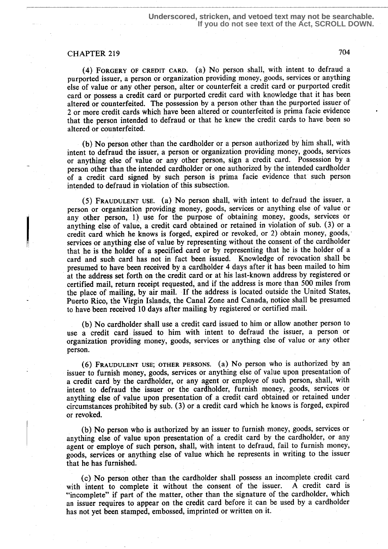## CHAPTER 219 704

FORGERY OF CREDIT CARD. (a) No person shall, with intent to defraud a purported issuer, a person or organization providing money, goods, services or anything else of value or any other person, alter or counterfeit a credit card or purported credit card or possess a credit card or purported credit card with knowledge that it has been altered or counterfeited. The possession by a person other than the purported issuer of 2 or more credit cards which have been altered or counterfeited is prima facie evidence that the person intended to defraud or that he knew the credit cards to have. been so altered or counterfeited.

(b) No person other than the cardholder or a person authorized by him shall, with intent to defraud the issuer, a person or organization providing money, goods, services or anything else of value or any other person, sign a credit card. Possession by a person other than the intended cardholder or one authorized by the intended cardholder of a credit card signed by such person is prima facie evidence that such person intended to defraud in violation of this subsection.

(5) FRAUDULENT USE. (a) No person shall, with intent to defraud the issuer, a person or organization providing money, goods, services or anything else of value or any other person, 1) use for the purpose of obtaining money, goods, services or anything else of value, a credit card obtained or retained in violation of sub. (3) or a credit card which he knows is forged, expired or revoked, or 2) obtain money, goods, services or anything else of value by representing without the consent of the cardholder that he is the holder of a specified card or by representing that he is the holder of a card and such card has not in fact been issued. Knowledge of revocation shall be presumed to have been received by a cardholder 4 days after it has been mailed to him at the address set forth on the credit card or at his last-known address by registered or certified mail, return receipt requested, and if the address is more than 500 miles from the place of mailing, by' air mail. If the address is located outside the United States, Puerto Rico, the Virgin Islands, the Canal Zone and Canada, notice shall be presumed to have been received 10 days after mailing by registered or certified mail.

(b) No cardholder shall use a credit card issued to him or allow another person to use a credit card issued to him with intent to defraud the issuer, a person or organization providing money, goods; services or anything else of value or any other person.

FRAUDULENT USE; OTHER PERSONS. (3) NO person who is authorized by an issuer to furnish money, goods, services or anything else of value upon presentation of a credit card by the cardholder, or any agent or employe of such person, shall, with intent to defraud the issuer or the cardholder, furnish money, goods, services or anything else of value upon presentation of a credit card obtained or retained under circumstances prohibited by sub. (3) or a credit card which he knows is forged, expired or revoked.

(b) No person who is authorized by an issuer to furnish money, goods, services or anything else of value upon presentation of a credit card by the cardholder, or any agent or employe of such person, shall, with intent to defraud, fail to furnish money, goods, services or anything else of value which he represents in writing to the issuer that he has furnished:

(c) No person other than the cardholder shall possess an incomplete credit card with intent to complete it without the consent of the issuer. "incomplete" if part of the matter, other than the signature of the cardholder, which an issuer requires to appear on the credit card before it can be used by a cardholder has not yet been stamped, embossed, imprinted or written on it.